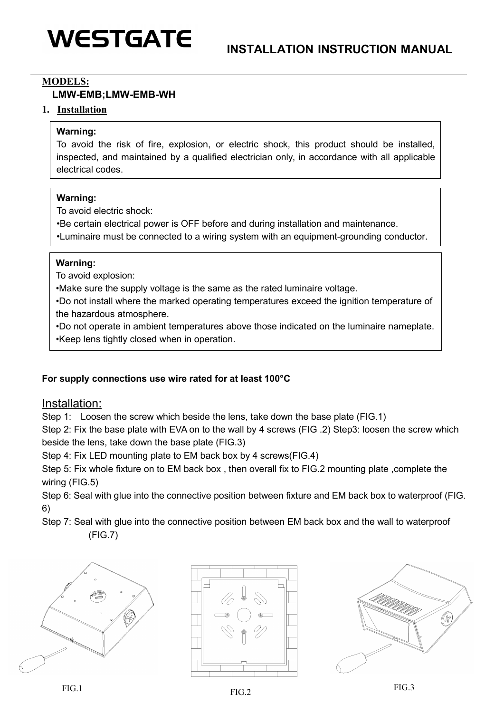# **WESTGATE**

#### **MODELS:**

## **LMW-EMB;LMW-EMB-WH**

#### **1. Installation**

### **Warning:**

To avoid the risk of fire, explosion, or electric shock, this product should be installed, inspected, and maintained by a qualified electrician only, in accordance with all applicable electrical codes.

#### **Warning:**

To avoid electric shock:

•Be certain electrical power is OFF before and during installation and maintenance.

•Luminaire must be connected to a wiring system with an equipment-grounding conductor.

### **Warning:**

To avoid explosion:

•Make sure the supply voltage is the same as the rated luminaire voltage.

•Do not install where the marked operating temperatures exceed the ignition temperature of the hazardous atmosphere.

•Do not operate in ambient temperatures above those indicated on the luminaire nameplate. •Keep lens tightly closed when in operation.

## **For supply connections use wire rated for at least 100°C**

# Installation:

Step 1: Loosen the screw which beside the lens, take down the base plate (FIG.1)

Step 2: Fix the base plate with EVA on to the wall by 4 screws (FIG .2) Step3: loosen the screw which beside the lens, take down the base plate (FIG.3)

Step 4: Fix LED mounting plate to EM back box by 4 screws(FIG.4)

Step 5: Fix whole fixture on to EM back box , then overall fix to FIG.2 mounting plate ,complete the wiring (FIG.5)

Step 6: Seal with glue into the connective position between fixture and EM back box to waterproof (FIG. 6)

Step 7: Seal with glue into the connective position between EM back box and the wall to waterproof (FIG.7)